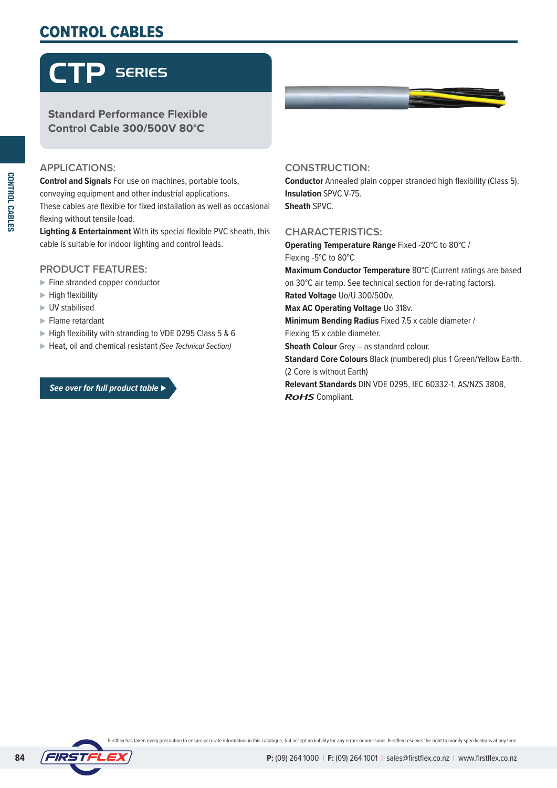## CONTROL CABLES

# CTP SERIES

#### **Standard Performance Flexible Control Cable 300/500V 80°C**

#### **APPLICATIONS:**

**Control and Signals** For use on machines, portable tools, conveying equipment and other industrial applications. These cables are flexible for fixed installation as well as occasional flexing without tensile load.

**Lighting & Entertainment** With its special flexible PVC sheath, this cable is suitable for indoor lighting and control leads.

#### **PRODUCT FEATURES:**

- ⊲ Fine stranded copper conductor
- ► High flexibility
- ⊲ UV stabilised
- ► Flame retardant
- ► High flexibility with stranding to VDE 0295 Class 5 & 6
- ⊲ Heat, oil and chemical resistant *(See Technical Section)*

#### *See over for full product table ⊲*



#### **CONSTRUCTION:**

**Conductor** Annealed plain copper stranded high flexibility (Class 5). **Insulation** SPVC V-75. **Sheath** SPVC.

#### **CHARACTERISTICS:**

**Operating Temperature Range** Fixed -20°C to 80°C / Flexing -5°C to 80°C **Maximum Conductor Temperature** 80°C (Current ratings are based on 30°C air temp. See technical section for de-rating factors). **Rated Voltage** Uo/U 300/500v. **Max AC Operating Voltage** Uo 318v. **Minimum Bending Radius** Fixed 7.5 x cable diameter / Flexing 15 x cable diameter. **Sheath Colour** Grey – as standard colour. **Standard Core Colours** Black (numbered) plus 1 Green/Yellow Earth. (2 Core is without Earth) **Relevant Standards** DIN VDE 0295, IEC 60332-1, AS/NZS 3808, **ROHS** Compliant.